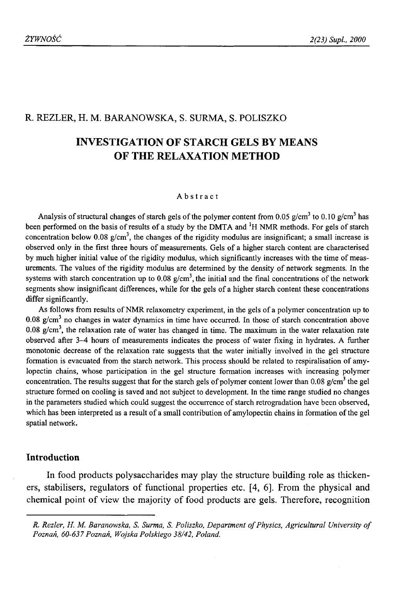## R. REZLER, H. M. BARANOWSKA, S. SURMA, S. POLISZKO

# **INVESTIGATION OF STARCH GELS BY MEANS OF THE RELAXATION METHOD**

### Abstract

Analysis of structural changes of starch gels of the polymer content from 0.05  $g/cm^3$  to 0.10  $g/cm^3$  has been performed on the basis of results of a study by the DMTA and 'H NMR methods. For gels of starch concentration below 0.08  $g/cm<sup>3</sup>$ , the changes of the rigidity modulus are insignificant; a small increase is observed only in the first three hours of measurements. Gels of a higher starch content are characterised by much higher initial value of the rigidity modulus, which significantly increases with the time of measurements. The values of the rigidity modulus are determined by the density of network segments. In the systems with starch concentration up to  $0.08 \text{ g/cm}^3$ , the initial and the final concentrations of the network segments show insignificant differences, while for the gels of a higher starch content these concentrations differ significantly.

As follows from results of NMR relaxometry experiment, in the gels of a polymer concentration up to 0.08 g/cm3 no changes in water dynamics in time have occurred. In those of starch concentration above 0.08 g/cm<sup>3</sup>, the relaxation rate of water has changed in time. The maximum in the water relaxation rate observed after 3-4 hours of measurements indicates the process of water fixing in hydrates. A further monotonic decrease of the relaxation rate suggests that the water initially involved in the gel structure formation is evacuated from the starch network. This process should be related to respiralisation of amylopectin chains, whose participation in the gel structure formation increases with increasing polymer concentration. The results suggest that for the starch gels of polymer content lower than 0.08  $g/cm<sup>3</sup>$  the gel structure formed on cooling is saved and not subject to development. In the time range studied no changes in the parameters studied which could suggest the occurrence of starch retrogradation have been observed, which has been interpreted as a result of a small contribution of amylopectin chains in formation of the gel spatial network.

### **Introduction**

In food products polysaccharides may play the structure building role as thickeners, stabilisers, regulators of functional properties etc. [4, 6]. From the physical and chemical point of view the majority of food products are gels. Therefore, recognition

*R. Rezler, H. M. Baranowska, S. Surma, S. Poliszko, Department of Physics, Agricultural University of Poznań, 60-637 Poznań, Wojska Polskiego 38/42, Poland.*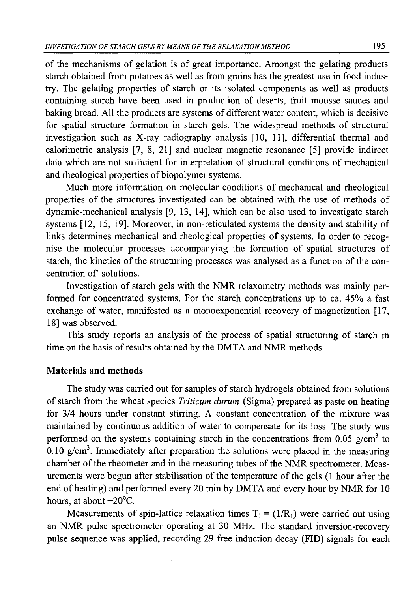of the mechanisms of gelation is of great importance. Amongst the gelating products starch obtained from potatoes as well as from grains has the greatest use in food industry. The gelating properties of starch or its isolated components as well as products containing starch have been used in production of deserts, fruit mousse sauces and baking bread. All the products are systems of different water content, which is decisive for spatial structure formation in starch gels. The widespread methods of structural investigation such as X-ray radiography analysis [10, 11], differential thermal and calorimetric analysis [7, 8, 21] and nuclear magnetic resonance [5] provide indirect data which are not sufficient for interpretation of structural conditions of mechanical and rheological properties of biopolymer systems.

Much more information on molecular conditions of mechanical and rheological properties of the structures investigated can be obtained with the use of methods of dynamic-mechanical analysis [9, 13, 14], which can be also used to investigate starch systems [12, 15, 19]. Moreover, in non-reticulated systems the density and stability of links determines mechanical and rheological properties of systems. In order to recognise the molecular processes accompanying the formation of spatial structures of starch, the kinetics of the structuring processes was analysed as a function of the concentration of solutions.

Investigation of starch gels with the NMR relaxometry methods was mainly performed for concentrated systems. For the starch concentrations up to ca. 45% a fast exchange of water, manifested as a monoexponential recovery of magnetization [17, 18] was observed.

This study reports an analysis of the process of spatial structuring of starch in time on the basis of results obtained by the DMTA and NMR methods.

## **Materials and methods**

The study was carried out for samples of starch hydrogels obtained from solutions of starch from the wheat species *Triticum durum* (Sigma) prepared as paste on heating for 3/4 hours under constant stirring. A constant concentration of the mixture was maintained by continuous addition of water to compensate for its loss. The study was performed on the systems containing starch in the concentrations from 0.05  $g/cm<sup>3</sup>$  to 0.10 g/cm<sup>3</sup>. Immediately after preparation the solutions were placed in the measuring chamber of the rheometer and in the measuring tubes of the NMR spectrometer. Measurements were begun after stabilisation of the temperature of the gels (1 hour after the end of heating) and performed every 20 min by DMTA and every hour by NMR for 10 hours, at about +20°C.

Measurements of spin-lattice relaxation times  $T_1 = (1/R_1)$  were carried out using an NMR pulse spectrometer operating at 30 MHz. The standard inversion-recovery pulse sequence was applied, recording 29 free induction decay (FID) signals for each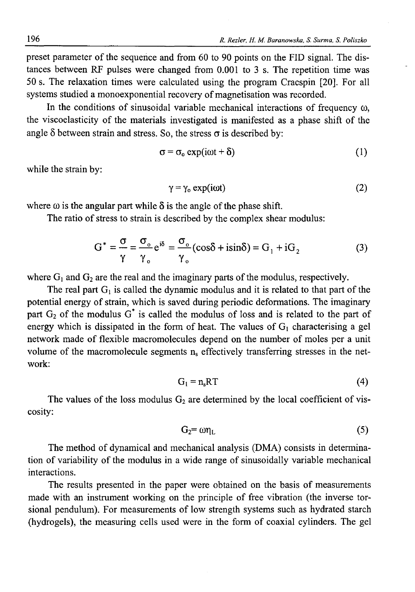preset parameter of the sequence and from 60 to 90 points on the FID signal. The distances between RF pulses were changed from 0.001 to 3 s. The repetition time was 50 s. The relaxation times were calculated using the program Cracspin [20]. For all systems studied a monoexponential recovery of magnetisation was recorded.

In the conditions of sinusoidal variable mechanical interactions of frequency  $\omega$ , the viscoelasticity of the materials investigated is manifested as a phase shift of the angle  $\delta$  between strain and stress. So, the stress  $\sigma$  is described by:

$$
\sigma = \sigma_o \exp(i\omega t + \delta) \tag{1}
$$

while the strain by:

$$
\gamma = \gamma_0 \exp(i\omega t) \tag{2}
$$

where  $\omega$  is the angular part while  $\delta$  is the angle of the phase shift.

The ratio of stress to strain is described by the complex shear modulus:

$$
G^* = \frac{\sigma}{\gamma} = \frac{\sigma_0}{\gamma_0} e^{i\delta} = \frac{\sigma_0}{\gamma_0} (\cos \delta + i \sin \delta) = G_1 + i G_2 \tag{3}
$$

where  $G_1$  and  $G_2$  are the real and the imaginary parts of the modulus, respectively.

The real part  $G_1$  is called the dynamic modulus and it is related to that part of the potential energy of strain, which is saved during periodic deformations. The imaginary part  $G_2$  of the modulus  $G^*$  is called the modulus of loss and is related to the part of energy which is dissipated in the form of heat. The values of  $G<sub>1</sub>$  characterising a gel network made of flexible macromolecules depend on the number of moles per a unit volume of the macromolecule segments  $n_s$  effectively transferring stresses in the network:

$$
G_1 = n_s RT \tag{4}
$$

The values of the loss modulus  $G_2$  are determined by the local coefficient of viscosity:

$$
G_2 = \omega \eta_L \tag{5}
$$

The method of dynamical and mechanical analysis (DMA) consists in determination of variability of the modulus in a wide range of sinusoidally variable mechanical interactions.

The results presented in the paper were obtained on the basis of measurements made with an instrument working on the principle of free vibration (the inverse torsional pendulum). For measurements of low strength systems such as hydrated starch (hydrogels), the measuring cells used were in the form of coaxial cylinders. The gel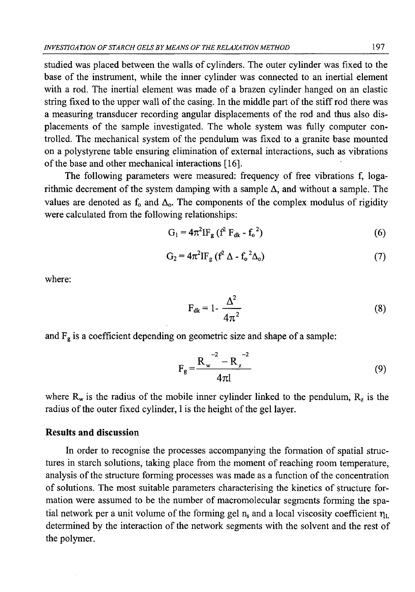studied was placed between the walls of cylinders. The outer cylinder was fixed to the base of the instrument, while the inner cylinder was connected to an inertial element with a rod. The inertial element was made of a brazen cylinder hanged on an elastic string fixed to the upper wall of the casing. In the middle part of the stiff rod there was a measuring transducer recording angular displacements of the rod and thus also displacements of the sample investigated. The whole system was fully computer controlled. The mechanical system of the pendulum was fixed to a granite base mounted on a polystyrene table ensuring elimination of external interactions, such as vibrations of the base and other mechanical interactions [16].

The following parameters were measured: frequency of free vibrations f, logarithmic decrement of the system damping with a sample  $\Delta$ , and without a sample. The values are denoted as  $f_0$  and  $\Delta_0$ . The components of the complex modulus of rigidity were calculated from the following relationships:

$$
G_1 = 4\pi^2 I F_g (f^2 F_{dk} - f_0^2)
$$
 (6)

$$
G_2 = 4\pi^2 I F_g (f^2 \Delta - f_o^2 \Delta_o)
$$
 (7)

where:

$$
F_{dk} = 1 - \frac{\Delta^2}{4\pi^2} \tag{8}
$$

and  $F_g$  is a coefficient depending on geometric size and shape of a sample:

$$
F_g = \frac{R_w^2 - R_z^2}{4\pi l}
$$
 (9)

where  $R_w$  is the radius of the mobile inner cylinder linked to the pendulum,  $R_z$  is the radius of the outer fixed cylinder, 1 is the height of the gel layer.

## **Results and discussion**

In order to recognise the processes accompanying the formation of spatial structures in starch solutions, taking place from the moment of reaching room temperature, analysis of the structure forming processes was made as a function of the concentration of solutions. The most suitable parameters characterising the kinetics of structure formation were assumed to be the number of macromolecular segments forming the spatial network per a unit volume of the forming gel  $n_s$  and a local viscosity coefficient  $\eta_L$ determined by the interaction of the network segments with the solvent and the rest of the polymer.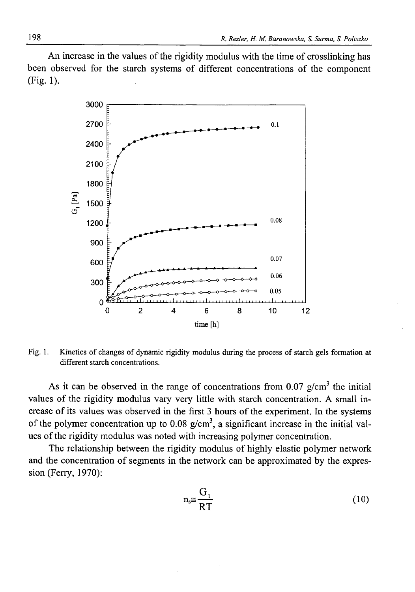An increase in the values of the rigidity modulus with the time of crosslinking has been observed for the starch systems of different concentrations of the component (Fig. 1).



Fig. 1. Kinetics of changes of dynamic rigidity modulus during the process of starch gels formation at different starch concentrations.

As it can be observed in the range of concentrations from 0.07 g/cm<sup>3</sup> the initial values of the rigidity modulus vary very little with starch concentration. A small increase of its values was observed in the first 3 hours of the experiment. In the systems of the polymer concentration up to  $0.08 \text{ g/cm}^3$ , a significant increase in the initial values of the rigidity modulus was noted with increasing polymer concentration.

The relationship between the rigidity modulus of highly elastic polymer network and the concentration of segments in the network can be approximated by the expression (Ferry, 1970):

$$
n_s \cong \frac{G_1}{RT} \tag{10}
$$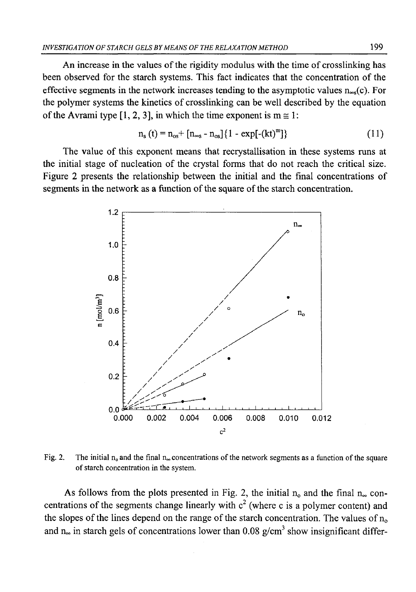An increase in the values of the rigidity modulus with the time of crosslinking has been observed for the starch systems. This fact indicates that the concentration of the effective segments in the network increases tending to the asymptotic values  $n_{\infty}(c)$ . For the polymer systems the kinetics of crosslinking can be well described by the equation of the Avrami type [1, 2, 3], in which the time exponent is  $m \approx 1$ :

$$
n_{s}(t) = n_{os} + [n_{\infty s} - n_{os}] \{ 1 - \exp[-(kt)^{m}] \}
$$
 (11)

The value of this exponent means that recrystallisation in these systems runs at the initial stage of nucleation of the crystal forms that do not reach the critical size. Figure 2 presents the relationship between the initial and the final concentrations of segments in the network as a function of the square of the starch concentration.



Fig. 2. The initial  $n_0$  and the final  $n_{\infty}$  concentrations of the network segments as a function of the square of starch concentration in the system.

As follows from the plots presented in Fig. 2, the initial  $n_0$  and the final  $n_\infty$  concentrations of the segments change linearly with  $c<sup>2</sup>$  (where c is a polymer content) and the slopes of the lines depend on the range of the starch concentration. The values of  $n<sub>o</sub>$ and n<sub>∞</sub> in starch gels of concentrations lower than  $0.08$  g/cm<sup>3</sup> show insignificant differ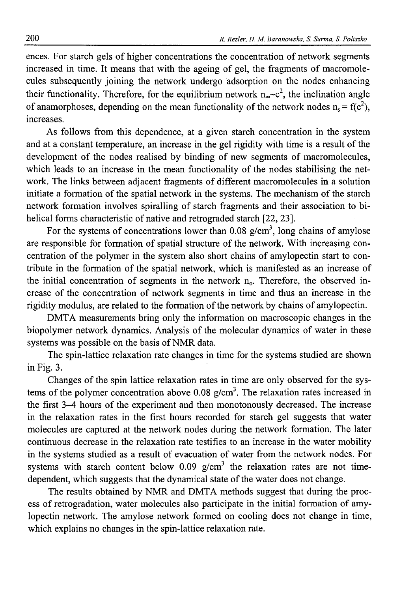ences. For starch gels of higher concentrations the concentration of network segments increased in time. It means that with the ageing of gel, the fragments of macromolecules subsequently joining the network undergo adsorption on the nodes enhancing their functionality. Therefore, for the equilibrium network  $n_{\infty}c^2$ , the inclination angle of anamorphoses, depending on the mean functionality of the network nodes  $n_s = f(c^2)$ , increases.

As follows from this dependence, at a given starch concentration in the system and at a constant temperature, an increase in the gel rigidity with time is a result of the development of the nodes realised by binding of new segments of macromolecules, which leads to an increase in the mean functionality of the nodes stabilising the network. The links between adjacent fragments of different macromolecules in a solution initiate a formation of the spatial network in the systems. The mechanism of the starch network formation involves spiralling of starch fragments and their association to bihelical forms characteristic of native and retrograded starch [22, 23].

For the systems of concentrations lower than 0.08  $g/cm<sup>3</sup>$ , long chains of amylose are responsible for formation of spatial structure of the network. With increasing concentration of the polymer in the system also short chains of amylopectin start to contribute in the formation of the spatial network, which is manifested as an increase of the initial concentration of segments in the network  $n_0$ . Therefore, the observed increase of the concentration of network segments in time and thus an increase in the rigidity modulus, are related to the formation of the network by chains of amylopectin.

DMTA measurements bring only the information on macroscopic changes in the biopolymer network dynamics. Analysis of the molecular dynamics of water in these systems was possible on the basis of NMR data.

The spin-lattice relaxation rate changes in time for the systems studied are shown in Fig. 3.

Changes of the spin lattice relaxation rates in time are only observed for the systems of the polymer concentration above  $0.08 \text{ g/cm}^3$ . The relaxation rates increased in the first 3-4 hours of the experiment and then monotonously decreased. The increase in the relaxation rates in the first hours recorded for starch gel suggests that water molecules are captured at the network nodes during the network formation. The later continuous decrease in the relaxation rate testifies to an increase in the water mobility in the systems studied as a result of evacuation of water from the network nodes. For systems with starch content below  $0.09$  g/cm<sup>3</sup> the relaxation rates are not timedependent, which suggests that the dynamical state of the water does not change.

The results obtained by NMR and DMTA methods suggest that during the process of retrogradation, water molecules also participate in the initial formation of amylopectin network. The amylose network formed on cooling does not change in time, which explains no changes in the spin-lattice relaxation rate.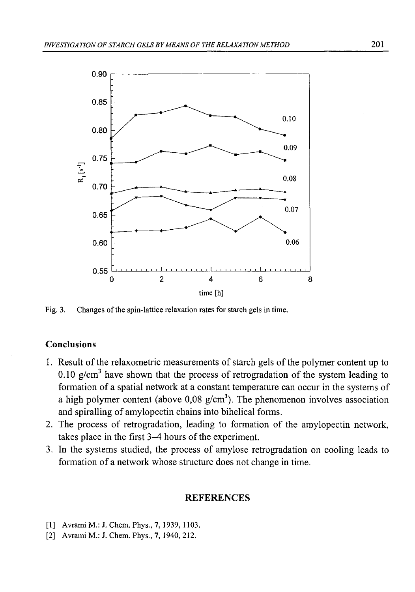

Fig. 3. Changes of the spin-lattice relaxation rates for starch gels in time.

## Conclusions

- 1. Result of the relaxometric measurements of starch gels of the polymer content up to 0.10  $\epsilon$ /cm<sup>3</sup> have shown that the process of retrogradation of the system leading to formation of a spatial network at a constant temperature can occur in the systems of a high polymer content (above  $0.08 \text{ g/cm}^3$ ). The phenomenon involves association and spiralling of amylopectin chains into bihelical forms.
- 2. The process of retrogradation, leading to formation of the amylopectin network, takes place in the first 3—4 hours of the experiment.
- 3. In the systems studied, the process of amylose retrogradation on cooling leads to formation of a network whose structure does not change in time.

## **REFERENCES**

- [1] Avrami M.: J. Chem. Phys., 7, 1939, 1103.
- [2] Avrami M.: J. Chem. Phys., 7, 1940, 212.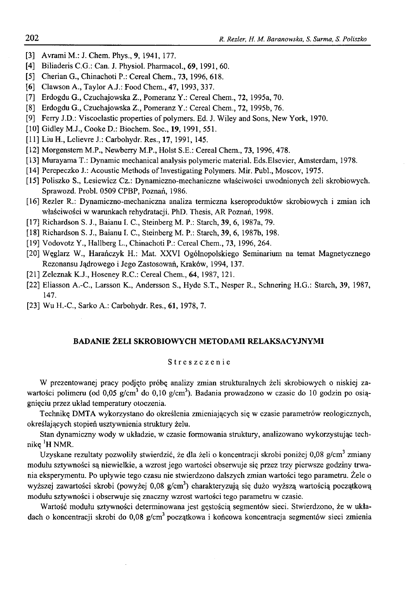- [3] Avrami M.: J. Chem. Phys., 9, 1941, 177.
- [4] Biliaderis C.G.: Can. J. Physiol. Pharmacol., 69, 1991, 60.
- [5] Cherian G., Chinachoti P.: Cereal Chem., 73, 1996, 618.
- [6] Clawson A., Taylor A.J.: Food Chem., 47, 1993, 337.
- [7] Erdogdu G., Czuchajowska Z., Pomeranz Y.: Cereal Chem., 72, 1995a, 70.
- [8] Erdogdu G., Czuchajowska Z., Pomeranz Y.: Cereal Chem., 72, 1995b, 76.
- [9] Ferry J.D.: Viscoelastic properties of polymers. Ed. J. Wiley and Sons, New York, 1970.
- [10] Gidley M.J., Cooke D.: Biochem. Soc., 19, 1991, 551.
- [11] Liu H., Lelievre J.: Carbohydr. Res., 17, 1991, 145.
- [12] Morgenstern M.P., Newberry M.P., Holst S.E.: Cereal Chem., 73, 1996, 478.
- [13] Murayama T.: Dynamic mechanical analysis polymeric material. Eds.Elsevier, Amsterdam, 1978.
- [14] Perepeczko J.: Acoustic Methods of Investigating Polymers. Mir. Publ., Moscov, 1975.
- [15] Poliszko S., Lesiewicz Cz.: Dynamiczno-mechaniczne właściwości uwodnionych żeli skrobiowych. Sprawozd. Probl. 0509 CPBP, Poznań, 1986.
- [16] Rezler R.: Dynamiczno-mechaniczna analiza termiczna kseroproduktów skrobiowych i zmian ich właściwości w warunkach rehydratacji. PhD. Thesis, AR Poznań, 1998.
- [17] Richardson S. J., Baianu I. C., Steinberg M. P.: Starch, 39, 6, 1987a, 79.
- [18] Richardson S. J., Baianu I. C., Steinberg M. P.: Starch, 39, 6, 1987b, 198.
- [19] Vodovotz Y., Hallberg L., Chinachoti P.: Cereal Chem., 73, 1996, 264.
- [20] Węglarz W., Harańczyk H.: Mat. XXVI Ogólnopolskiego Seminarium na temat Magnetycznego Rezonansu Jądrowego i Jego Zastosowań, Kraków, 1994, 137.
- [21] Zeleznak K.J., Hoseney R.C.: Cereal Chem., 64, 1987, 121.
- [22] Eliasson A.-C., Larsson K., Andersson S., Hyde S.T., Nesper R., Schnering H.G.: Starch, 39, 1987, 147.
- [23] Wu H.-C., Sarko A.: Carbohydr. Res., 61, 1978, 7.

#### BADANIE ŻELI SKROBIOWYCH METODAMI RELAKSACYJNYMI

### Streszczenie

W prezentowanej pracy podjęto próbę analizy zmian strukturalnych żeli skrobiowych o niskiej zawartości polimeru (od 0,05 g/cm<sup>3</sup> do 0,10 g/cm<sup>3</sup>). Badania prowadzono w czasie do 10 godzin po osiągnięciu przez układ temperatury otoczenia.

Technikę DMTA wykorzystano do określenia zmieniających się w czasie parametrów reologicznych, określających stopień usztywnienia struktury żelu.

Stan dynamiczny wody w układzie, w czasie formowania struktury, analizowano wykorzystując technikę <sup>1</sup>H NMR.

Uzyskane rezultaty pozwoliły stwierdzić, że dla żeli o koncentracji skrobi poniżej 0,08 g/cm<sup>3</sup> zmiany modułu sztywności są niewielkie, a wzrost jego wartości obserwuje się przez trzy pierwsze godziny trwania eksperymentu. Po upływie tego czasu nie stwierdzono dalszych zmian wartości tego parametru. Żele o wyższej zawartości skrobi (powyżej 0,08 g/cm<sup>3</sup>) charakteryzują się dużo wyższą wartością początkową modułu sztywności i obserwuje się znaczny wzrost wartości tego parametru w czasie.

Wartość modułu sztywności determinowana jest gęstością segmentów sieci. Stwierdzono, że w układach o koncentracji skrobi do 0,08  $g/cm<sup>3</sup>$  początkowa i końcowa koncentracja segmentów sieci zmienia